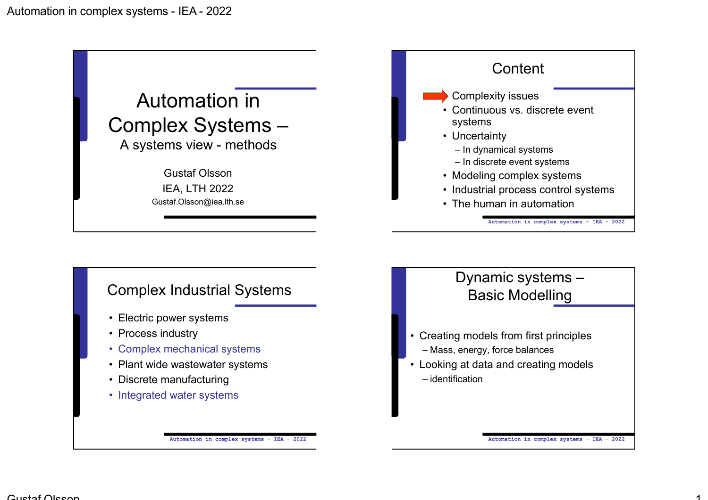

- Plant wide wastewater systems
- Discrete manufacturing
- Integrated water systems

• Looking at data and creating models

– identification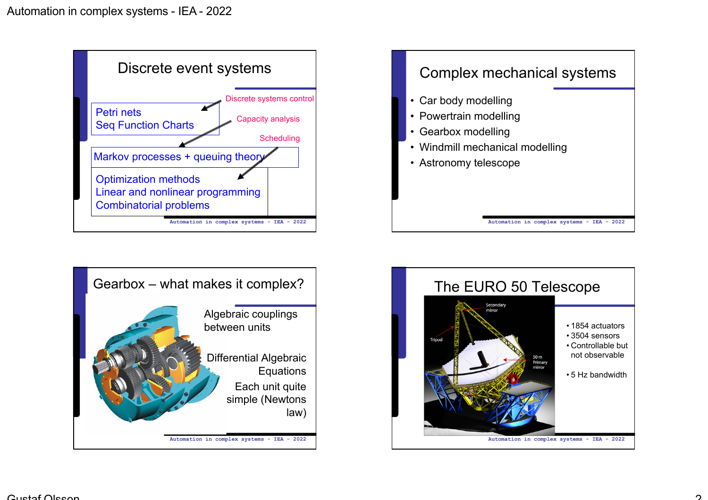





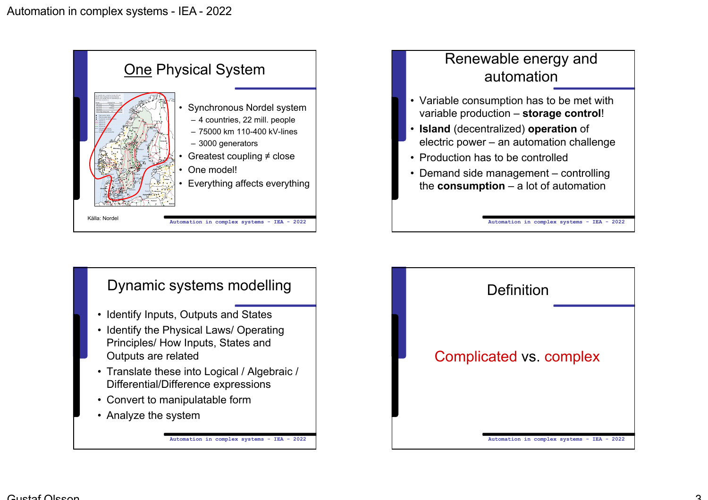



- Identify Inputs, Outputs and States
- Identify the Physical Laws/ Operating Principles/ How Inputs, States and Outputs are related
- Translate these into Logical / Algebraic / Differential/Difference expressions
- Convert to manipulatable form
- Analyze the system

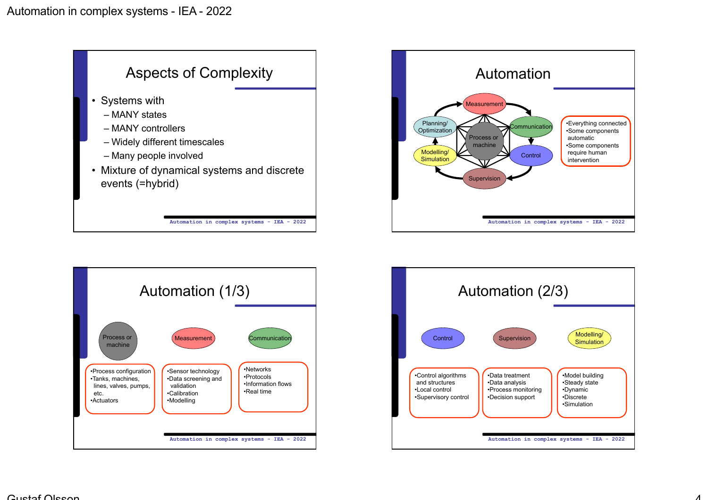





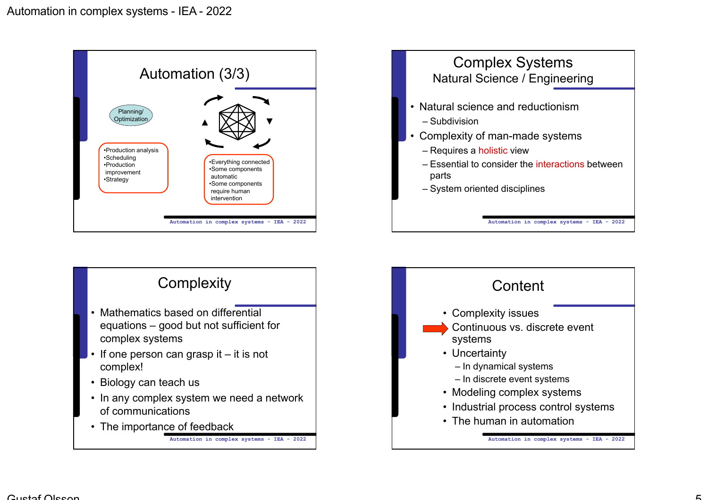

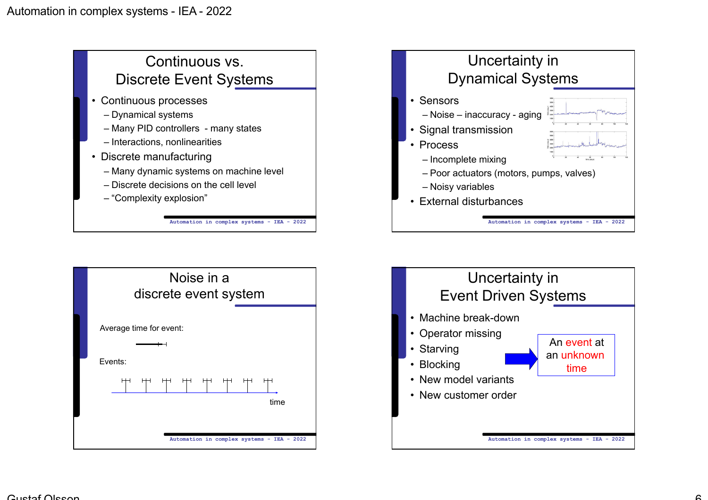



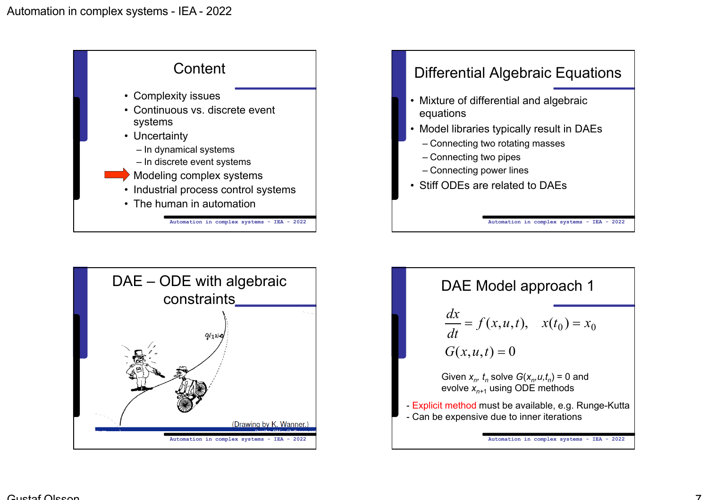



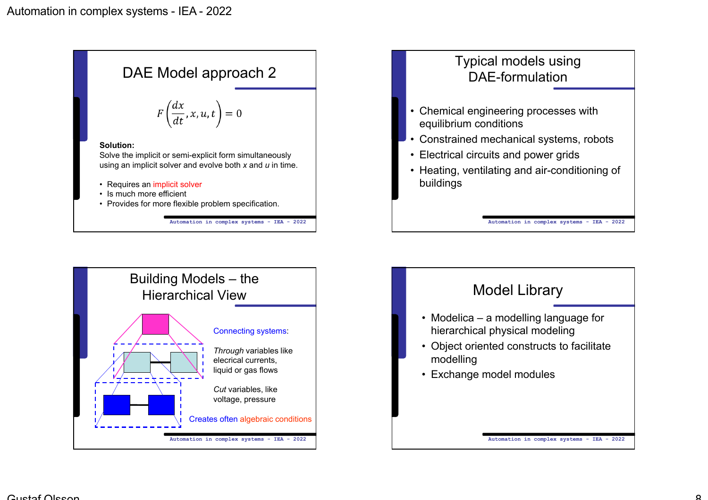



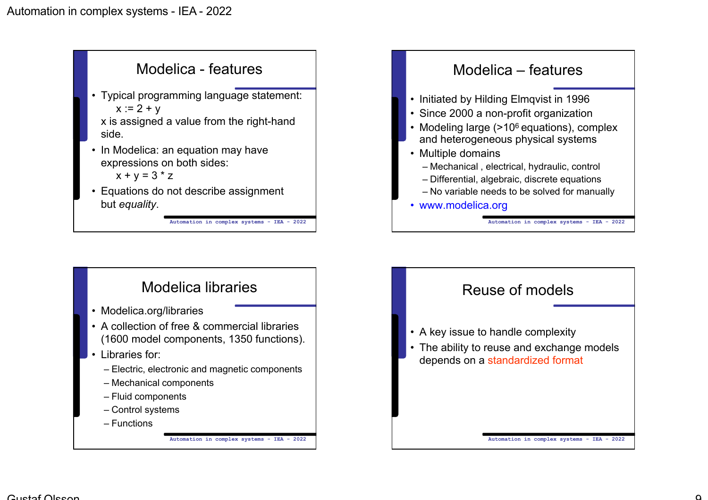





- Modelica.org/libraries
- A collection of free & commercial libraries (1600 model components, 1350 functions).
- Libraries for:
	- Electric, electronic and magnetic components
	- Mechanical components
	- Fluid components
	- Control systems
	- Functions

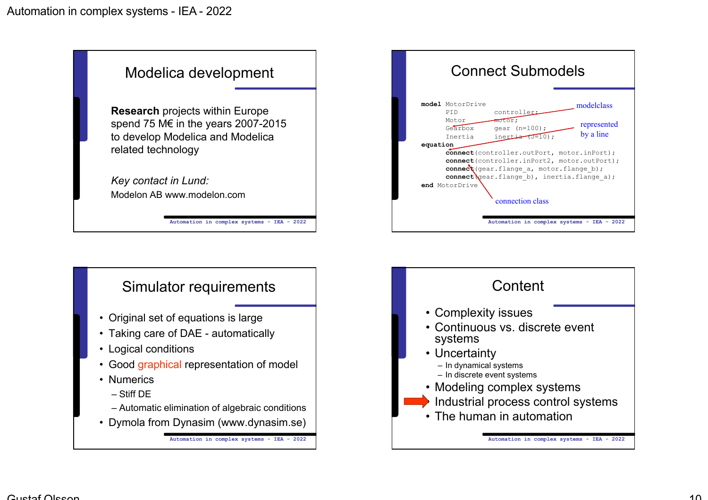



- Original set of equations is large
- Taking care of DAE automatically
- Logical conditions
- Good graphical representation of model
- Numerics
	- Stiff DE
	- Automatic elimination of algebraic conditions
- Dymola from Dynasim (www.dynasim.se)



modelclass

represented by a line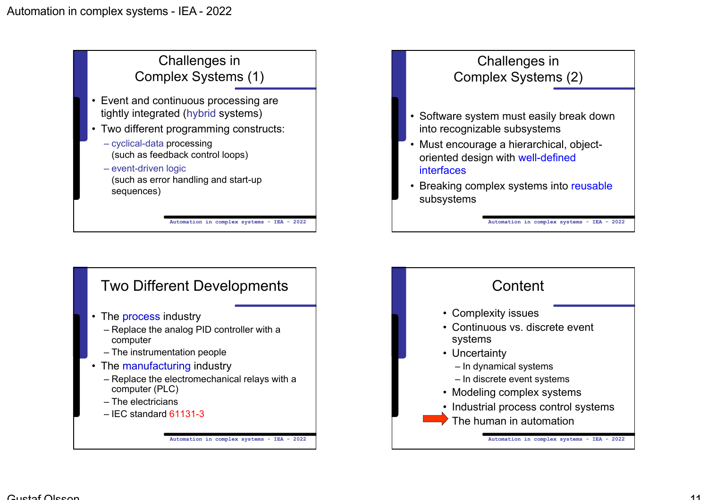

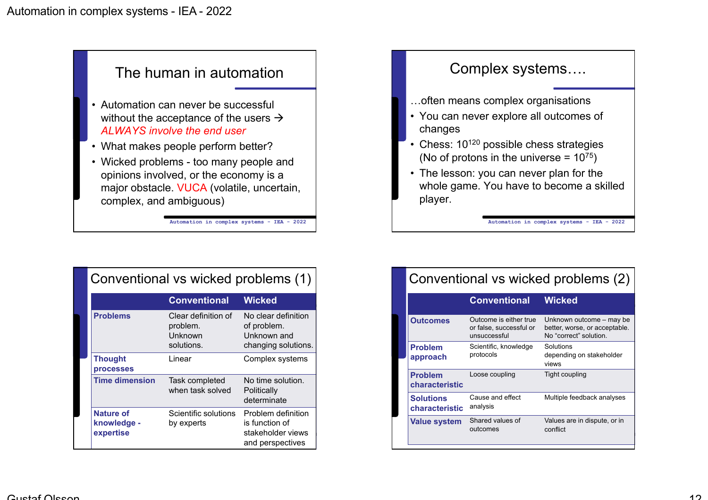

|  | Conventional vs wicked problems (1)          |                                                          |                                                                               |  |
|--|----------------------------------------------|----------------------------------------------------------|-------------------------------------------------------------------------------|--|
|  |                                              | <b>Conventional</b>                                      | <b>Wicked</b>                                                                 |  |
|  | <b>Problems</b>                              | Clear definition of<br>problem.<br>Unknown<br>solutions. | No clear definition<br>of problem.<br>Unknown and<br>changing solutions.      |  |
|  | <b>Thought</b><br><b>processes</b>           | Linear                                                   | Complex systems                                                               |  |
|  | <b>Time dimension</b>                        | Task completed<br>when task solved                       | No time solution.<br>Politically<br>determinate                               |  |
|  | <b>Nature of</b><br>knowledge -<br>expertise | Scientific solutions<br>by experts                       | Problem definition<br>is function of<br>stakeholder views<br>and perspectives |  |



| Conventional vs wicked problems (2) |                                                                   |                                                                                     |  |  |
|-------------------------------------|-------------------------------------------------------------------|-------------------------------------------------------------------------------------|--|--|
|                                     | <b>Conventional</b>                                               | <b>Wicked</b>                                                                       |  |  |
| <b>Outcomes</b>                     | Outcome is either true<br>or false, successful or<br>unsuccessful | Unknown outcome – may be<br>better, worse, or acceptable.<br>No "correct" solution. |  |  |
| <b>Problem</b><br>approach          | Scientific, knowledge<br>protocols                                | Solutions<br>depending on stakeholder<br>views                                      |  |  |
| <b>Problem</b><br>characteristic    | Loose coupling                                                    | Tight coupling                                                                      |  |  |
| <b>Solutions</b><br>characteristic  | Cause and effect<br>analysis                                      | Multiple feedback analyses                                                          |  |  |
| <b>Value system</b>                 | Shared values of<br>outcomes                                      | Values are in dispute, or in<br>conflict                                            |  |  |